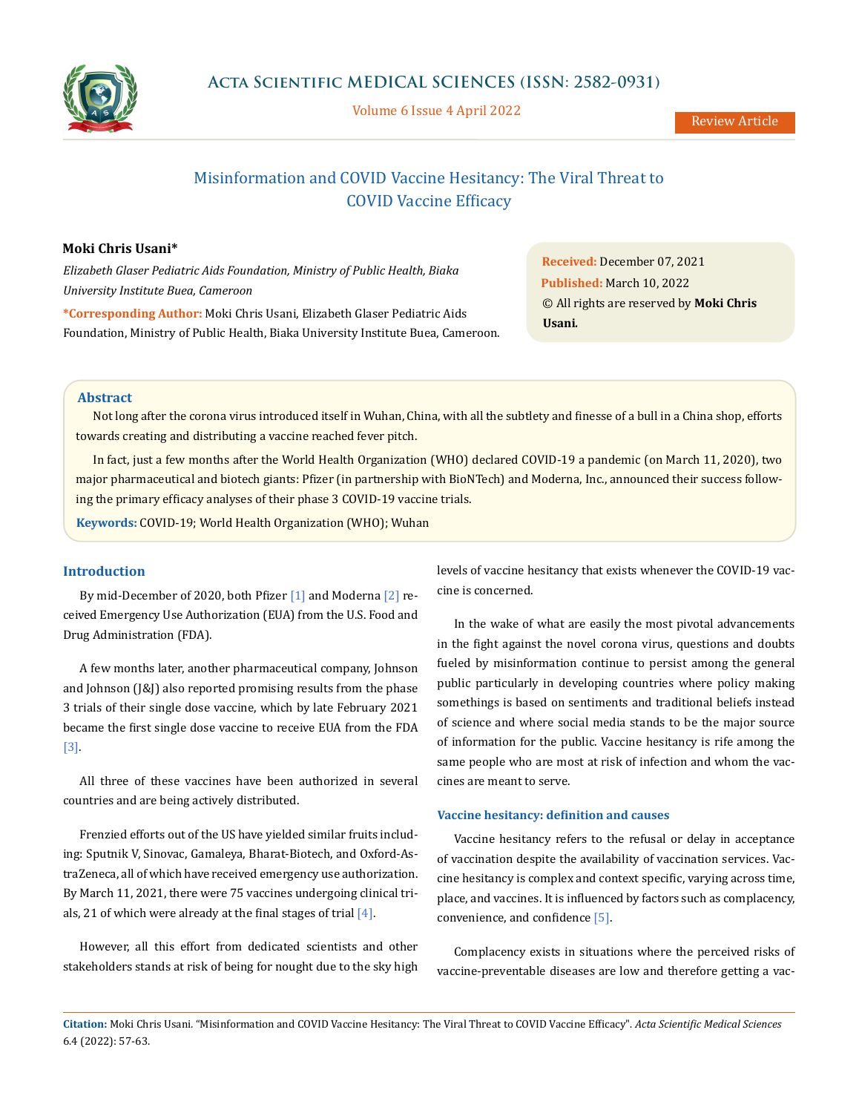

Volume 6 Issue 4 April 2022

# Misinformation and COVID Vaccine Hesitancy: The Viral Threat to COVID Vaccine Efficacy

### **Moki Chris Usani\***

*Elizabeth Glaser Pediatric Aids Foundation, Ministry of Public Health, Biaka University Institute Buea, Cameroon*

**\*Corresponding Author:** Moki Chris Usani, Elizabeth Glaser Pediatric Aids Foundation, Ministry of Public Health, Biaka University Institute Buea, Cameroon.

**Received:** December 07, 2021 **Published:** March 10, 2022 © All rights are reserved by **Moki Chris Usani***.*

### **Abstract**

Not long after the corona virus introduced itself in Wuhan, China, with all the subtlety and finesse of a bull in a China shop, efforts towards creating and distributing a vaccine reached fever pitch.

In fact, just a few months after the World Health Organization (WHO) declared COVID-19 a pandemic (on March 11, 2020), two major pharmaceutical and biotech giants: Pfizer (in partnership with BioNTech) and Moderna, Inc., announced their success following the primary efficacy analyses of their phase 3 COVID-19 vaccine trials.

**Keywords:** COVID-19; World Health Organization (WHO); Wuhan

### **Introduction**

By mid-December of 2020, both Pfizer [1] and Moderna [2] received Emergency Use Authorization (EUA) from the U.S. Food and Drug Administration (FDA).

A few months later, another pharmaceutical company, Johnson and Johnson (J&J) also reported promising results from the phase 3 trials of their single dose vaccine, which by late February 2021 became the first single dose vaccine to receive EUA from the FDA [3].

All three of these vaccines have been authorized in several countries and are being actively distributed.

Frenzied efforts out of the US have yielded similar fruits including: Sputnik V, Sinovac, Gamaleya, Bharat-Biotech, and Oxford-AstraZeneca, all of which have received emergency use authorization. By March 11, 2021, there were 75 vaccines undergoing clinical trials, 21 of which were already at the final stages of trial  $[4]$ .

However, all this effort from dedicated scientists and other stakeholders stands at risk of being for nought due to the sky high levels of vaccine hesitancy that exists whenever the COVID-19 vaccine is concerned.

In the wake of what are easily the most pivotal advancements in the fight against the novel corona virus, questions and doubts fueled by misinformation continue to persist among the general public particularly in developing countries where policy making somethings is based on sentiments and traditional beliefs instead of science and where social media stands to be the major source of information for the public. Vaccine hesitancy is rife among the same people who are most at risk of infection and whom the vaccines are meant to serve.

#### **Vaccine hesitancy: definition and causes**

Vaccine hesitancy refers to the refusal or delay in acceptance of vaccination despite the availability of vaccination services. Vaccine hesitancy is complex and context specific, varying across time, place, and vaccines. It is influenced by factors such as complacency, convenience, and confidence [5].

Complacency exists in situations where the perceived risks of vaccine-preventable diseases are low and therefore getting a vac-

**Citation:** Moki Chris Usani*.* "Misinformation and COVID Vaccine Hesitancy: The Viral Threat to COVID Vaccine Efficacy". *Acta Scientific Medical Sciences*  6.4 (2022): 57-63.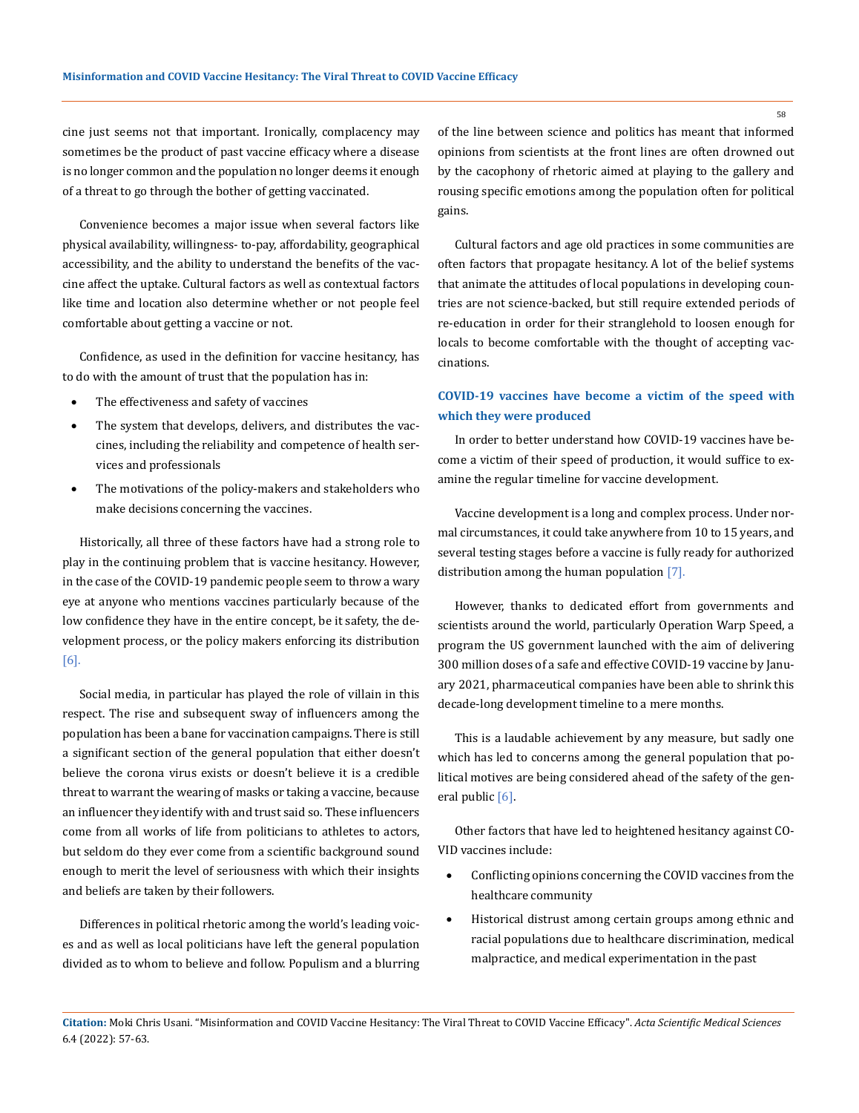cine just seems not that important. Ironically, complacency may sometimes be the product of past vaccine efficacy where a disease is no longer common and the population no longer deems it enough of a threat to go through the bother of getting vaccinated.

Convenience becomes a major issue when several factors like physical availability, willingness- to-pay, affordability, geographical accessibility, and the ability to understand the benefits of the vaccine affect the uptake. Cultural factors as well as contextual factors like time and location also determine whether or not people feel comfortable about getting a vaccine or not.

Confidence, as used in the definition for vaccine hesitancy, has to do with the amount of trust that the population has in:

- The effectiveness and safety of vaccines
- The system that develops, delivers, and distributes the vaccines, including the reliability and competence of health services and professionals
- The motivations of the policy-makers and stakeholders who make decisions concerning the vaccines.

Historically, all three of these factors have had a strong role to play in the continuing problem that is vaccine hesitancy. However, in the case of the COVID-19 pandemic people seem to throw a wary eye at anyone who mentions vaccines particularly because of the low confidence they have in the entire concept, be it safety, the development process, or the policy makers enforcing its distribution [6].

Social media, in particular has played the role of villain in this respect. The rise and subsequent sway of influencers among the population has been a bane for vaccination campaigns. There is still a significant section of the general population that either doesn't believe the corona virus exists or doesn't believe it is a credible threat to warrant the wearing of masks or taking a vaccine, because an influencer they identify with and trust said so. These influencers come from all works of life from politicians to athletes to actors, but seldom do they ever come from a scientific background sound enough to merit the level of seriousness with which their insights and beliefs are taken by their followers.

Differences in political rhetoric among the world's leading voices and as well as local politicians have left the general population divided as to whom to believe and follow. Populism and a blurring of the line between science and politics has meant that informed opinions from scientists at the front lines are often drowned out by the cacophony of rhetoric aimed at playing to the gallery and rousing specific emotions among the population often for political gains.

Cultural factors and age old practices in some communities are often factors that propagate hesitancy. A lot of the belief systems that animate the attitudes of local populations in developing countries are not science-backed, but still require extended periods of re-education in order for their stranglehold to loosen enough for locals to become comfortable with the thought of accepting vaccinations.

## **COVID-19 vaccines have become a victim of the speed with which they were produced**

In order to better understand how COVID-19 vaccines have become a victim of their speed of production, it would suffice to examine the regular timeline for vaccine development.

Vaccine development is a long and complex process. Under normal circumstances, it could take anywhere from 10 to 15 years, and several testing stages before a vaccine is fully ready for authorized distribution among the human population [7].

However, thanks to dedicated effort from governments and scientists around the world, particularly Operation Warp Speed, a program the US government launched with the aim of delivering 300 million doses of a safe and effective COVID-19 vaccine by January 2021, pharmaceutical companies have been able to shrink this decade-long development timeline to a mere months.

This is a laudable achievement by any measure, but sadly one which has led to concerns among the general population that political motives are being considered ahead of the safety of the general public [6].

Other factors that have led to heightened hesitancy against CO-VID vaccines include:

- Conflicting opinions concerning the COVID vaccines from the healthcare community
- Historical distrust among certain groups among ethnic and racial populations due to healthcare discrimination, medical malpractice, and medical experimentation in the past

**Citation:** Moki Chris Usani*.* "Misinformation and COVID Vaccine Hesitancy: The Viral Threat to COVID Vaccine Efficacy". *Acta Scientific Medical Sciences*  6.4 (2022): 57-63.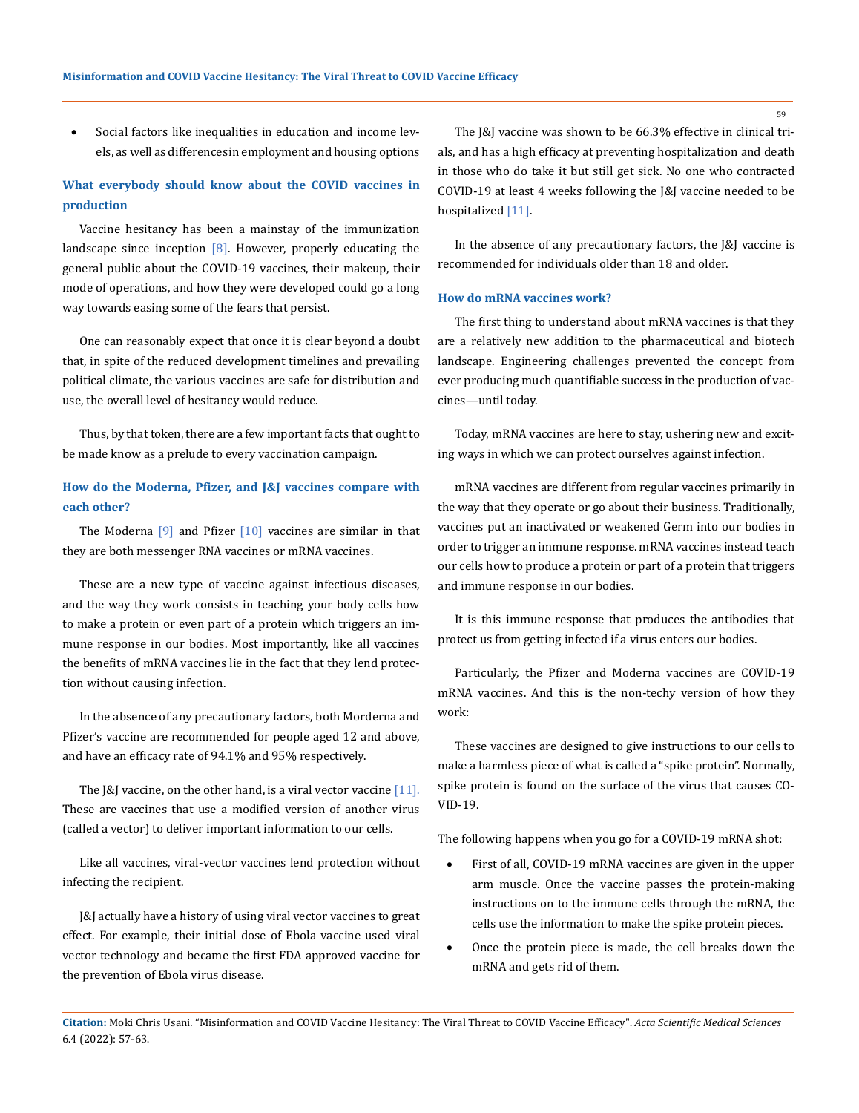Social factors like inequalities in education and income levels, as well as differences in employment and housing options

# **What everybody should know about the COVID vaccines in production**

Vaccine hesitancy has been a mainstay of the immunization landscape since inception  $[8]$ . However, properly educating the general public about the COVID-19 vaccines, their makeup, their mode of operations, and how they were developed could go a long way towards easing some of the fears that persist.

One can reasonably expect that once it is clear beyond a doubt that, in spite of the reduced development timelines and prevailing political climate, the various vaccines are safe for distribution and use, the overall level of hesitancy would reduce.

Thus, by that token, there are a few important facts that ought to be made know as a prelude to every vaccination campaign.

### **How do the Moderna, Pfizer, and J&J vaccines compare with each other?**

The Moderna  $[9]$  and Pfizer  $[10]$  vaccines are similar in that they are both messenger RNA vaccines or mRNA vaccines.

These are a new type of vaccine against infectious diseases, and the way they work consists in teaching your body cells how to make a protein or even part of a protein which triggers an immune response in our bodies. Most importantly, like all vaccines the benefits of mRNA vaccines lie in the fact that they lend protection without causing infection.

In the absence of any precautionary factors, both Morderna and Pfizer's vaccine are recommended for people aged 12 and above, and have an efficacy rate of 94.1% and 95% respectively.

The  $\left[\&\right]$  vaccine, on the other hand, is a viral vector vaccine  $\left[11\right]$ . These are vaccines that use a modified version of another virus (called a vector) to deliver important information to our cells.

Like all vaccines, viral-vector vaccines lend protection without infecting the recipient.

J&J actually have a history of using viral vector vaccines to great effect. For example, their initial dose of Ebola vaccine used viral vector technology and became the first FDA approved vaccine for the prevention of Ebola virus disease.

The J&J vaccine was shown to be 66.3% effective in clinical trials, and has a high efficacy at preventing hospitalization and death in those who do take it but still get sick. No one who contracted COVID-19 at least 4 weeks following the J&J vaccine needed to be hospitalized [11].

In the absence of any precautionary factors, the [&] vaccine is recommended for individuals older than 18 and older.

### **How do mRNA vaccines work?**

The first thing to understand about mRNA vaccines is that they are a relatively new addition to the pharmaceutical and biotech landscape. Engineering challenges prevented the concept from ever producing much quantifiable success in the production of vaccines—until today.

Today, mRNA vaccines are here to stay, ushering new and exciting ways in which we can protect ourselves against infection.

mRNA vaccines are different from regular vaccines primarily in the way that they operate or go about their business. Traditionally, vaccines put an inactivated or weakened Germ into our bodies in order to trigger an immune response. mRNA vaccines instead teach our cells how to produce a protein or part of a protein that triggers and immune response in our bodies.

It is this immune response that produces the antibodies that protect us from getting infected if a virus enters our bodies.

Particularly, the Pfizer and Moderna vaccines are COVID-19 mRNA vaccines. And this is the non-techy version of how they work:

These vaccines are designed to give instructions to our cells to make a harmless piece of what is called a "spike protein". Normally, spike protein is found on the surface of the virus that causes CO-VID-19.

The following happens when you go for a COVID-19 mRNA shot:

- First of all, COVID-19 mRNA vaccines are given in the upper arm muscle. Once the vaccine passes the protein-making instructions on to the immune cells through the mRNA, the cells use the information to make the spike protein pieces.
- Once the protein piece is made, the cell breaks down the mRNA and gets rid of them.

**Citation:** Moki Chris Usani*.* "Misinformation and COVID Vaccine Hesitancy: The Viral Threat to COVID Vaccine Efficacy". *Acta Scientific Medical Sciences*  6.4 (2022): 57-63.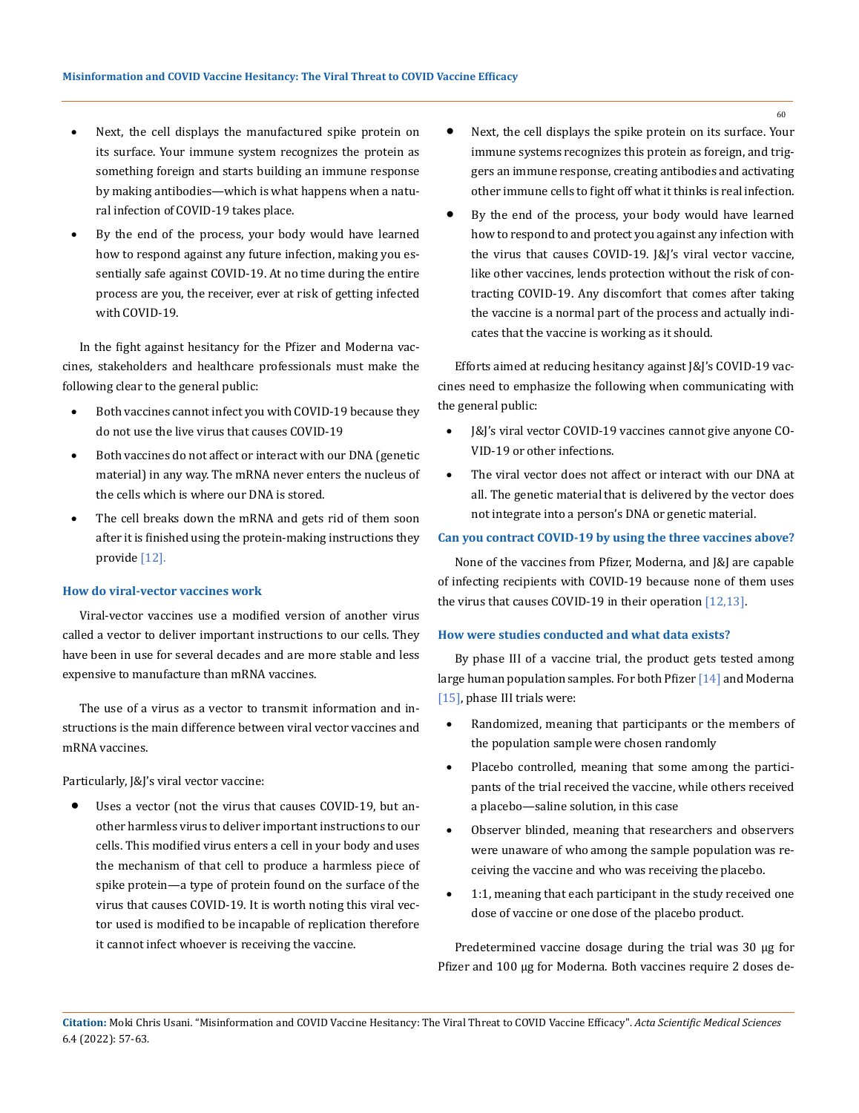- Next, the cell displays the manufactured spike protein on its surface. Your immune system recognizes the protein as something foreign and starts building an immune response by making antibodies—which is what happens when a natural infection of COVID-19 takes place.
- By the end of the process, your body would have learned how to respond against any future infection, making you essentially safe against COVID-19. At no time during the entire process are you, the receiver, ever at risk of getting infected with COVID-19.

In the fight against hesitancy for the Pfizer and Moderna vaccines, stakeholders and healthcare professionals must make the following clear to the general public:

- Both vaccines cannot infect you with COVID-19 because they do not use the live virus that causes COVID-19
- Both vaccines do not affect or interact with our DNA (genetic material) in any way. The mRNA never enters the nucleus of the cells which is where our DNA is stored.
- The cell breaks down the mRNA and gets rid of them soon after it is finished using the protein-making instructions they provide [12].

### **How do viral-vector vaccines work**

Viral-vector vaccines use a modified version of another virus called a vector to deliver important instructions to our cells. They have been in use for several decades and are more stable and less expensive to manufacture than mRNA vaccines.

The use of a virus as a vector to transmit information and instructions is the main difference between viral vector vaccines and mRNA vaccines.

Particularly, J&J's viral vector vaccine:

Uses a vector (not the virus that causes COVID-19, but another harmless virus to deliver important instructions to our cells. This modified virus enters a cell in your body and uses the mechanism of that cell to produce a harmless piece of spike protein—a type of protein found on the surface of the virus that causes COVID-19. It is worth noting this viral vector used is modified to be incapable of replication therefore it cannot infect whoever is receiving the vaccine.

- Next, the cell displays the spike protein on its surface. Your immune systems recognizes this protein as foreign, and triggers an immune response, creating antibodies and activating other immune cells to fight off what it thinks is real infection.
- • By the end of the process, your body would have learned how to respond to and protect you against any infection with the virus that causes COVID-19. J&J's viral vector vaccine, like other vaccines, lends protection without the risk of contracting COVID-19. Any discomfort that comes after taking the vaccine is a normal part of the process and actually indicates that the vaccine is working as it should.

Efforts aimed at reducing hesitancy against J&J's COVID-19 vaccines need to emphasize the following when communicating with the general public:

- [&]'s viral vector COVID-19 vaccines cannot give anyone CO-VID-19 or other infections.
- The viral vector does not affect or interact with our DNA at all. The genetic material that is delivered by the vector does not integrate into a person's DNA or genetic material.

### **Can you contract COVID-19 by using the three vaccines above?**

None of the vaccines from Pfizer, Moderna, and J&J are capable of infecting recipients with COVID-19 because none of them uses the virus that causes COVID-19 in their operation [12,13].

#### **How were studies conducted and what data exists?**

By phase III of a vaccine trial, the product gets tested among large human population samples. For both Pfizer [14] and Moderna [15], phase III trials were:

- • Randomized, meaning that participants or the members of the population sample were chosen randomly
- Placebo controlled, meaning that some among the participants of the trial received the vaccine, while others received a placebo—saline solution, in this case
- Observer blinded, meaning that researchers and observers were unaware of who among the sample population was receiving the vaccine and who was receiving the placebo.
- 1:1, meaning that each participant in the study received one dose of vaccine or one dose of the placebo product.

Predetermined vaccine dosage during the trial was 30 µg for Pfizer and 100 µg for Moderna. Both vaccines require 2 doses de-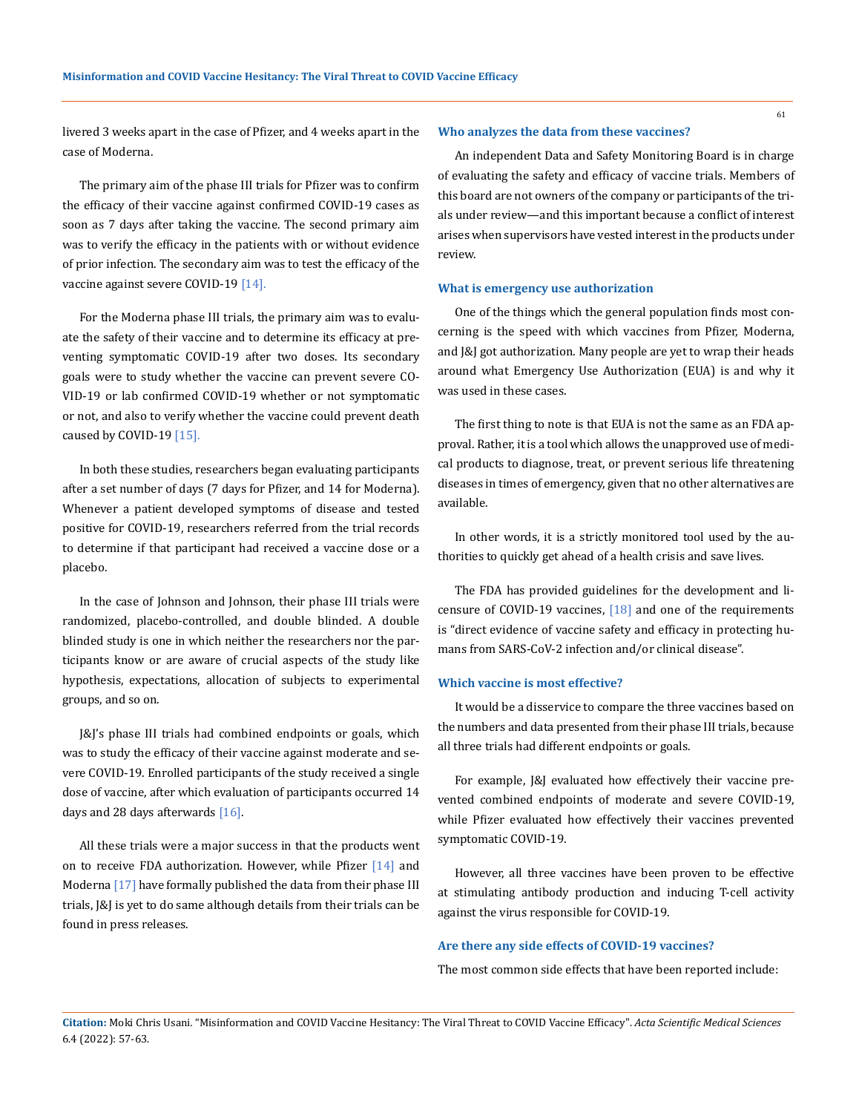61

livered 3 weeks apart in the case of Pfizer, and 4 weeks apart in the case of Moderna.

The primary aim of the phase III trials for Pfizer was to confirm the efficacy of their vaccine against confirmed COVID-19 cases as soon as 7 days after taking the vaccine. The second primary aim was to verify the efficacy in the patients with or without evidence of prior infection. The secondary aim was to test the efficacy of the vaccine against severe COVID-19 [14].

For the Moderna phase III trials, the primary aim was to evaluate the safety of their vaccine and to determine its efficacy at preventing symptomatic COVID-19 after two doses. Its secondary goals were to study whether the vaccine can prevent severe CO-VID-19 or lab confirmed COVID-19 whether or not symptomatic or not, and also to verify whether the vaccine could prevent death caused by COVID-19 [15].

In both these studies, researchers began evaluating participants after a set number of days (7 days for Pfizer, and 14 for Moderna). Whenever a patient developed symptoms of disease and tested positive for COVID-19, researchers referred from the trial records to determine if that participant had received a vaccine dose or a placebo.

In the case of Johnson and Johnson, their phase III trials were randomized, placebo-controlled, and double blinded. A double blinded study is one in which neither the researchers nor the participants know or are aware of crucial aspects of the study like hypothesis, expectations, allocation of subjects to experimental groups, and so on.

J&J's phase III trials had combined endpoints or goals, which was to study the efficacy of their vaccine against moderate and severe COVID-19. Enrolled participants of the study received a single dose of vaccine, after which evaluation of participants occurred 14 days and 28 days afterwards [16].

All these trials were a major success in that the products went on to receive FDA authorization. However, while Pfizer [14] and Moderna [17] have formally published the data from their phase III trials, J&J is yet to do same although details from their trials can be found in press releases.

#### **Who analyzes the data from these vaccines?**

An independent Data and Safety Monitoring Board is in charge of evaluating the safety and efficacy of vaccine trials. Members of this board are not owners of the company or participants of the trials under review—and this important because a conflict of interest arises when supervisors have vested interest in the products under review.

#### **What is emergency use authorization**

One of the things which the general population finds most concerning is the speed with which vaccines from Pfizer, Moderna, and J&J got authorization. Many people are yet to wrap their heads around what Emergency Use Authorization (EUA) is and why it was used in these cases.

The first thing to note is that EUA is not the same as an FDA approval. Rather, it is a tool which allows the unapproved use of medical products to diagnose, treat, or prevent serious life threatening diseases in times of emergency, given that no other alternatives are available.

In other words, it is a strictly monitored tool used by the authorities to quickly get ahead of a health crisis and save lives.

The FDA has provided guidelines for the development and licensure of COVID-19 vaccines,  $[18]$  and one of the requirements is "direct evidence of vaccine safety and efficacy in protecting humans from SARS-CoV-2 infection and/or clinical disease".

#### **Which vaccine is most effective?**

It would be a disservice to compare the three vaccines based on the numbers and data presented from their phase III trials, because all three trials had different endpoints or goals.

For example, J&J evaluated how effectively their vaccine prevented combined endpoints of moderate and severe COVID-19, while Pfizer evaluated how effectively their vaccines prevented symptomatic COVID-19.

However, all three vaccines have been proven to be effective at stimulating antibody production and inducing T-cell activity against the virus responsible for COVID-19.

#### **Are there any side effects of COVID-19 vaccines?**

The most common side effects that have been reported include: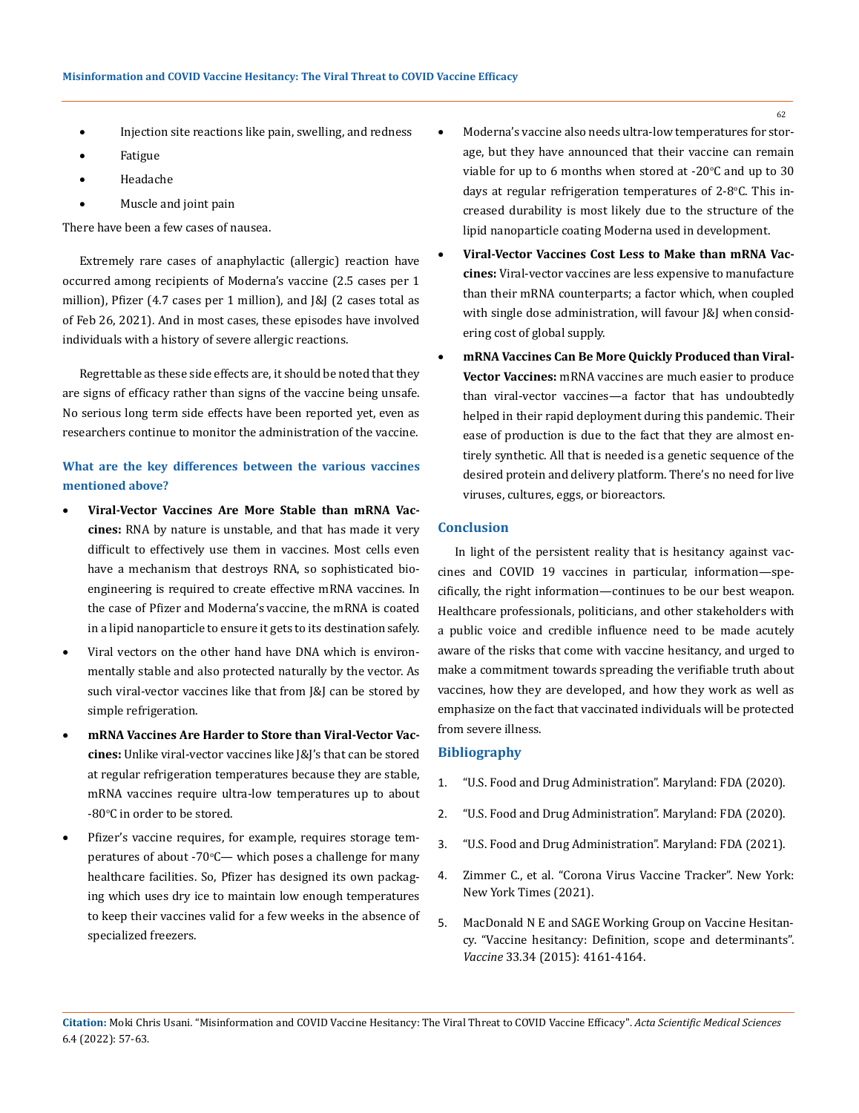- Injection site reactions like pain, swelling, and redness
- **Fatigue**
- **Headache**
- Muscle and joint pain

There have been a few cases of nausea.

Extremely rare cases of anaphylactic (allergic) reaction have occurred among recipients of Moderna's vaccine (2.5 cases per 1 million), Pfizer (4.7 cases per 1 million), and J&J (2 cases total as of Feb 26, 2021). And in most cases, these episodes have involved individuals with a history of severe allergic reactions.

Regrettable as these side effects are, it should be noted that they are signs of efficacy rather than signs of the vaccine being unsafe. No serious long term side effects have been reported yet, even as researchers continue to monitor the administration of the vaccine.

# **What are the key differences between the various vaccines mentioned above?**

- Viral-Vector Vaccines Are More Stable than mRNA Vac**cines:** RNA by nature is unstable, and that has made it very difficult to effectively use them in vaccines. Most cells even have a mechanism that destroys RNA, so sophisticated bioengineering is required to create effective mRNA vaccines. In the case of Pfizer and Moderna's vaccine, the mRNA is coated in a lipid nanoparticle to ensure it gets to its destination safely.
- Viral vectors on the other hand have DNA which is environmentally stable and also protected naturally by the vector. As such viral-vector vaccines like that from J&J can be stored by simple refrigeration.
- • **mRNA Vaccines Are Harder to Store than Viral-Vector Vaccines:** Unlike viral-vector vaccines like J&J's that can be stored at regular refrigeration temperatures because they are stable, mRNA vaccines require ultra-low temperatures up to about  $-80^{\circ}$ C in order to be stored.
- • Pfizer's vaccine requires, for example, requires storage temperatures of about -70°C— which poses a challenge for many healthcare facilities. So, Pfizer has designed its own packaging which uses dry ice to maintain low enough temperatures to keep their vaccines valid for a few weeks in the absence of specialized freezers.
- Moderna's vaccine also needs ultra-low temperatures for storage, but they have announced that their vaccine can remain viable for up to 6 months when stored at -20°C and up to 30  $\,$ days at regular refrigeration temperatures of 2-8°C. This increased durability is most likely due to the structure of the lipid nanoparticle coating Moderna used in development.
- Viral-Vector Vaccines Cost Less to Make than mRNA Vac**cines:** Viral-vector vaccines are less expensive to manufacture than their mRNA counterparts; a factor which, when coupled with single dose administration, will favour J&J when considering cost of global supply.
- mRNA Vaccines Can Be More Quickly Produced than Viral-**Vector Vaccines:** mRNA vaccines are much easier to produce than viral-vector vaccines—a factor that has undoubtedly helped in their rapid deployment during this pandemic. Their ease of production is due to the fact that they are almost entirely synthetic. All that is needed is a genetic sequence of the desired protein and delivery platform. There's no need for live viruses, cultures, eggs, or bioreactors.

### **Conclusion**

In light of the persistent reality that is hesitancy against vaccines and COVID 19 vaccines in particular, information—specifically, the right information—continues to be our best weapon. Healthcare professionals, politicians, and other stakeholders with a public voice and credible influence need to be made acutely aware of the risks that come with vaccine hesitancy, and urged to make a commitment towards spreading the verifiable truth about vaccines, how they are developed, and how they work as well as emphasize on the fact that vaccinated individuals will be protected from severe illness.

### **Bibliography**

- 1. ["U.S. Food and Drug Administration". Maryland: FDA \(2020\).](https://www.fda.gov/news-events/press-announcements/fda-takes-key-action-fight-against-covid-19-issuing-emergency-use-authorization-first-covid-19)
- 2. ["U.S. Food and Drug Administration". Maryland: FDA \(2020\).](https://www.fda.gov/news-events/press-announcements/fda-takes-additional-action-fight-against-covid-19-issuing-emergency-use-authorization-second-covid)
- 3. ["U.S. Food and Drug Administration". Maryland: FDA \(2021\).](https://www.fda.gov/news-events/press-announcements/fda-issues-emergency-use-authorization-third-covid-19-vaccine)
- 4. [Zimmer C., et al. "Corona Virus Vaccine Tracker". New York:](https://www.nytimes.com/interactive/2020/science/coronavirus-vaccine-tracker.html) [New York Times \(2021\).](https://www.nytimes.com/interactive/2020/science/coronavirus-vaccine-tracker.html)
- 5. [MacDonald N E and SAGE Working Group on Vaccine Hesitan](https://doi.org/10.1016/j.vaccine.2015.04.036)[cy. "Vaccine hesitancy: Definition, scope and determinants".](https://doi.org/10.1016/j.vaccine.2015.04.036) *Vaccine* [33.34 \(2015\): 4161-4164.](https://doi.org/10.1016/j.vaccine.2015.04.036)